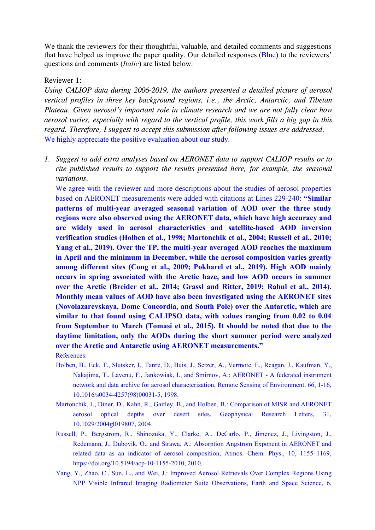We thank the reviewers for their thoughtful, valuable, and detailed comments and suggestions that have helped us improve the paper quality. Our detailed responses (Blue) to the reviewers' questions and comments (*Italic*) are listed below.

## Reviewer 1:

*Using CALIOP data during 2006-2019, the authors presented a detailed picture of aerosol vertical profiles in three key background regions, i.e., the Arctic, Antarctic, and Tibetan Plateau. Given aerosol's important role in climate research and we are not fully clear how aerosol varies, especially with regard to the vertical profile, this work fills a big gap in this regard. Therefore, I suggest to accept this submission after following issues are addressed.* We highly appreciate the positive evaluation about our study.

*1. Suggest to add extra analyses based on AERONET data to support CALIOP results orto cite published results to support the results presented here, for example, the seasonal variations.*

We agree with the reviewer and more descriptions about the studies of aerosol properties based on AERONET measurements were added with citations at Lines 229-240: **"Similar patterns of multi-year averaged seasonal variation of AOD over the three study regions were also observed using the AERONET data, which have high accuracy and are widely used in aerosolcharacteristics and satellite-based AOD inversion verification studies (Holben et al.,1998; Martonchik et al.,2004; Russell et al.,2010; Yang et al.,2019). Over the TP, the multi-year averaged AOD reaches the maximum in April and the minimum in December, while the aerosol composition varies greatly among different sites (Cong et al., 2009; Pokharel et al., 2019). High AOD mainly occurs in spring associated with the Arctic haze, and low AOD occurs in summer over the Arctic (Breider et al., 2014; Grassl and Ritter, 2019; Rahul et al., 2014). Monthly mean values of AOD have also been investigated using the AERONET sites (Novolazarevskaya, Dome Concordia, and South Pole) over the Antarctic, which are similar to that found using CALIPSO data, with values ranging from 0.02 to 0.04 from September to March (Tomasi et al., 2015). It should be noted that due to the daytime limitation, only the AODs during the short summer period were analyzed over the Arctic and Antarctic using AERONET measurements."** References:

- 
- Holben, B., Eck, T., Slutsker, I., Tanre, D., Buis, J., Setzer, A., Vermote, E., Reagan, J., Kaufman, Y., Nakajima, T., Lavenu, F., Jankowiak, I., and Smirnov, A.: AERONET - A federated instrument network and data archive for aerosol characterization, Remote Sensing of Environment, 66, 1-16, 10.1016/s0034-4257(98)00031-5, 1998.
- Martonchik, J., Diner, D., Kahn, R., Gaitley, B., and Holben, B.: Comparison of MISR and AERONET aerosol optical depths over desert sites, Geophysical Research Letters, 31, 10.1029/2004gl019807, 2004.
- Russell, P., Bergstrom, R., Shinozuka, Y., Clarke, A., DeCarlo, P., Jimenez, J., Livingston, J., Redemann, J., Dubovik, O., and Strawa, A.: Absorption Angstrom Exponent in AERONET and related data as an indicator of aerosol composition, Atmos. Chem. Phys., 10, 1155–1169, https://doi.org/10.5194/acp-10-1155-2010, 2010.
- Yang, Y., Zhao, C., Sun, L., and Wei, J.: Improved Aerosol Retrievals Over Complex Regions Using NPP Visible Infrared Imaging Radiometer Suite Observations, Earth and Space Science, 6,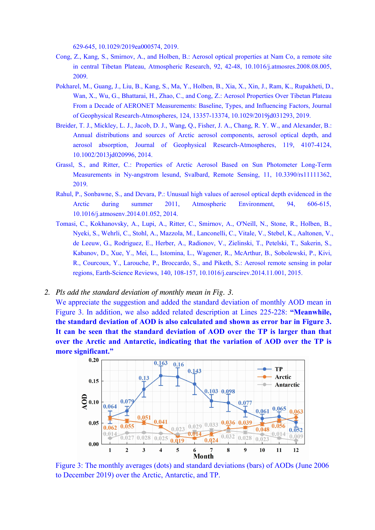629-645, 10.1029/2019ea000574, 2019.

- Cong, Z., Kang, S., Smirnov, A., and Holben, B.: Aerosol optical properties at Nam Co, a remote site in central Tibetan Plateau, Atmospheric Research, 92, 42-48, 10.1016/j.atmosres.2008.08.005, 2009.
- Pokharel, M., Guang, J., Liu, B., Kang, S., Ma, Y., Holben, B., Xia, X., Xin, J., Ram, K., Rupakheti, D., Wan, X., Wu, G., Bhattarai, H., Zhao, C., and Cong, Z.: Aerosol Properties Over Tibetan Plateau From a Decade of AERONET Measurements: Baseline, Types, and Influencing Factors, Journal of Geophysical Research-Atmospheres, 124, 13357-13374, 10.1029/2019jd031293, 2019.
- Breider, T. J., Mickley, L. J., Jacob, D. J., Wang, Q., Fisher, J. A., Chang, R. Y. W., and Alexander, B.: Annual distributions and sources of Arctic aerosol components, aerosol optical depth, and aerosol absorption, Journal of Geophysical Research-Atmospheres, 119, 4107-4124, 10.1002/2013jd020996, 2014.
- Grassl, S., and Ritter, C.: Properties of Arctic Aerosol Based on Sun Photometer Long-Term Measurements in Ny-angstrom lesund, Svalbard, Remote Sensing, 11, 10.3390/rs11111362, 2019.
- Rahul, P., Sonbawne, S., and Devara, P.: Unusual high values of aerosol optical depth evidenced in the Arctic during summer 2011, Atmospheric Environment, 94, 606-615, 10.1016/j.atmosenv.2014.01.052, 2014.
- Tomasi, C., Kokhanovsky, A., Lupi, A., Ritter, C., Smirnov, A., O'Neill, N., Stone, R., Holben, B., Nyeki, S., Wehrli, C., Stohl, A., Mazzola, M., Lanconelli, C., Vitale, V., Stebel, K., Aaltonen, V., de Leeuw, G., Rodriguez, E., Herber, A., Radionov, V., Zielinski, T., Petelski, T., Sakerin, S., Kabanov, D., Xue, Y., Mei, L., Istomina, L., Wagener, R., McArthur, B., Sobolewski, P., Kivi, R., Courcoux, Y., Larouche, P., Broccardo, S., and Piketh, S.: Aerosol remote sensing in polar regions, Earth-Science Reviews, 140, 108-157, 10.1016/j.earscirev.2014.11.001, 2015.
- *2. Pls add the standard deviation of monthly mean in Fig. 3.*

We appreciate the suggestion and added the standard deviation of monthly AOD mean in Figure 3. In addition, we also added related description at Lines 225-228: **"Meanwhile, the standard deviation of AOD is also calculated and shown as error bar in Figure 3. It can be seen that the standard deviation of AOD over the TP is larger than that over the Arctic and Antarctic, indicating that the variation of AOD over the TP is more significant."**



Figure 3: The monthly averages (dots) and standard deviations (bars) of AODs (June 2006 to December 2019) over the Arctic, Antarctic, and TP.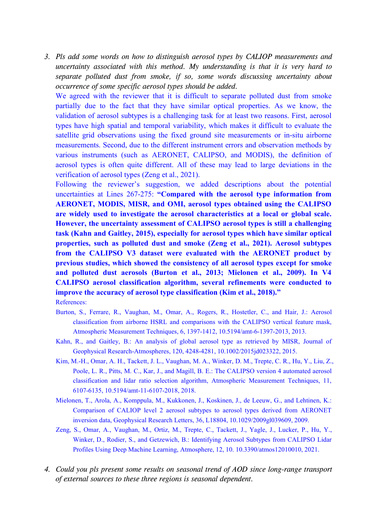*3. Pls add some words on how to distinguish aerosol types by CALIOP measurements and uncertainty associated with this method. My understanding is thatitis very hard to separate polluted dust from smoke, if so, some words discussing uncertainty about occurrence of some specific aerosol types should be added.*

We agreed with the reviewer that it is difficult to separate polluted dust from smoke partially due to the fact that they have similar optical properties. As we know, the validation of aerosol subtypes is a challenging task for at least two reasons. First, aerosol types have high spatial and temporal variability, which makes it difficult to evaluate the satellite grid observations using the fixed ground site measurements or in-situ airborne measurements. Second, due to the different instrument errors and observation methods by various instruments (such as AERONET, CALIPSO, and MODIS), the definition of aerosol types is often quite different. All of these may lead to large deviations in the verification of aerosol types (Zeng et al., 2021).

Following the reviewer's suggestion, we added descriptions about the potential uncertainties at Lines 267-275: **"Compared with the aerosoltype information from AERONET, MODIS, MISR, and OMI, aerosol types obtained using the CALIPSO are widely used to investigate the aerosol characteristics at a local or global scale. However, the uncertainty assessment of CALIPSO aerosol types is still a challenging task (Kahn and Gaitley, 2015), especially for aerosol types which have similar optical properties, such as polluted dust and smoke (Zeng et al., 2021). Aerosol subtypes from the CALIPSO V3 dataset were evaluated with the AERONET product by previous studies, which showed the consistency of all aerosol types except for smoke and polluted dust aerosols (Burton et al., 2013; Mielonen et al., 2009). In V4 CALIPSO aerosol classification algorithm, several refinements were conducted to improve the accuracy of aerosol type classification (Kim et al.,2018)."**

References:

- Burton, S., Ferrare, R., Vaughan, M., Omar, A., Rogers, R., Hostetler, C., and Hair, J.: Aerosol classification from airborne HSRL and comparisons with the CALIPSO vertical feature mask, Atmospheric Measurement Techniques, 6, 1397-1412, 10.5194/amt-6-1397-2013, 2013.
- Kahn, R., and Gaitley, B.: An analysis of global aerosol type as retrieved by MISR, Journal of Geophysical Research-Atmospheres, 120, 4248-4281, 10.1002/2015jd023322, 2015.
- Kim, M.-H., Omar, A. H., Tackett, J. L., Vaughan, M. A., Winker, D. M., Trepte, C. R., Hu, Y., Liu, Z., Poole, L. R., Pitts, M. C., Kar, J., and Magill, B. E.: The CALIPSO version 4 automated aerosol classification and lidar ratio selection algorithm, Atmospheric Measurement Techniques, 11, 6107-6135, 10.5194/amt-11-6107-2018, 2018.
- Mielonen, T., Arola, A., Komppula, M., Kukkonen, J., Koskinen, J., de Leeuw, G., and Lehtinen, K.: Comparison of CALIOP level 2 aerosol subtypes to aerosol types derived from AERONET inversion data, Geophysical Research Letters, 36, L18804, 10.1029/2009gl039609, 2009.
- Zeng, S., Omar, A., Vaughan, M., Ortiz, M., Trepte, C., Tackett, J., Yagle, J., Lucker, P., Hu, Y., Winker, D., Rodier, S., and Getzewich, B.: Identifying Aerosol Subtypes from CALIPSO Lidar Profiles Using Deep Machine Learning, Atmosphere, 12, 10. 10.3390/atmos12010010, 2021.
- *4. Could you pls present some results on seasonal trend of AOD since long-range transport of external sources to these three regions is seasonal dependent.*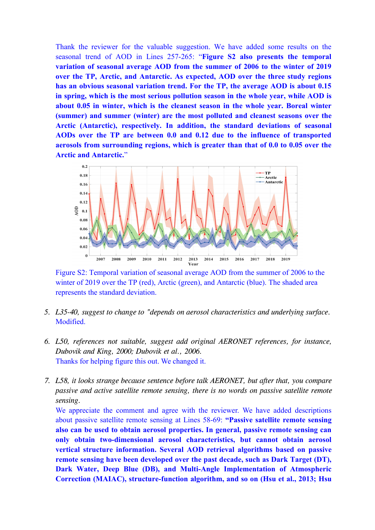Thank the reviewer for the valuable suggestion. We have added some results on the seasonal trend of AOD in Lines 257-265: "**Figure S2 also presents the temporal variation of seasonal average AOD from the summer of 2006 to the winter of 2019 over the TP, Arctic, and Antarctic. As expected, AOD over the three study regions has an obvious seasonal variation trend. For the TP, the average AOD is about 0.15 in spring, which is the most serious pollution season in the whole year, while AOD is about 0.05 in winter, which is the cleanest season in the whole year. Boreal winter (summer) and summer (winter) are the most polluted and cleanest seasons over the Arctic (Antarctic), respectively. In addition, the standard deviations of seasonal AODs over the TP are between 0.0 and 0.12 due to the influence of transported aerosols from surrounding regions, which is greater than that of 0.0 to 0.05 over the Arctic and Antarctic.**"



Figure S2: Temporal variation of seasonal average AOD from the summer of 2006 to the winter of 2019 over the TP (red), Arctic (green), and Antarctic (blue). The shaded area represents the standard deviation.

- *5. L35-40, suggest to change to "depends on aerosol characteristics and underlying surface.* Modified.
- *6. L50, references not suitable, suggest add original AERONET references, for instance, Dubovik and King, 2000; Dubovik et al., 2006.* Thanks for helping figure this out. We changed it.
- *7. L58, it looks strange because sentence before talk AERONET, but after that, you compare passive and active satellite remote sensing, there isno words on passive satellite remote sensing.*

We appreciate the comment and agree with the reviewer. We have added descriptions about passive satellite remote sensing at Lines 58-69: **"Passive satellite remote sensing also can be used to obtain aerosol properties. In general, passive remote sensing can only obtain two-dimensional aerosol characteristics, but cannot obtain aerosol vertical structure information. Several AOD retrieval algorithms based on passive remote sensing have been developed over the pastdecade, such as Dark Target (DT), Dark Water, Deep Blue (DB), and Multi-Angle Implementation of Atmospheric Correction (MAIAC), structure-function algorithm, and so on (Hsu et al.,2013; Hsu**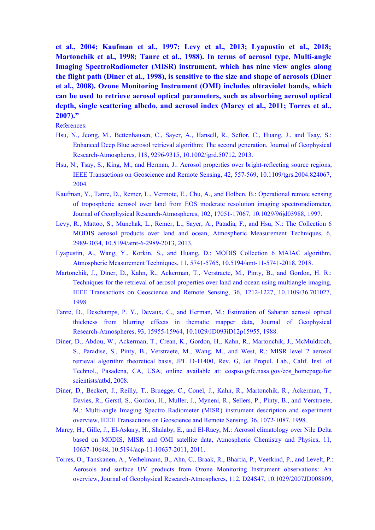**et al., 2004; Kaufman et al., 1997; Levy et al., 2013; Lyapustin et al., 2018; Martonchik et al., 1998; Tanre et al., 1988). In terms of aerosol type, Multi-angle Imaging SpectroRadiometer (MISR) instrument, which has nine view angles along the flight path (Diner et al.,1998), is sensitive to the size and shape of aerosols (Diner et al.,2008). Ozone Monitoring Instrument (OMI) includes ultraviolet bands, which can be used to retrieve aerosol optical parameters, such as absorbing aerosol optical depth, single scattering albedo, and aerosol index (Marey et al., 2011; Torres et al.,2007)."**

References:

- Hsu, N., Jeong, M., Bettenhausen, C., Sayer, A., Hansell, R., Seftor, C., Huang, J., and Tsay, S.: Enhanced Deep Blue aerosol retrieval algorithm: The second generation, Journal of Geophysical Research-Atmospheres, 118, 9296-9315, 10.1002/jgrd.50712, 2013.
- Hsu, N., Tsay, S., King, M., and Herman, J.: Aerosol properties over bright-reflecting source regions, IEEE Transactions on Geoscience and Remote Sensing, 42, 557-569, 10.1109/tgrs.2004.824067, 2004.
- Kaufman, Y., Tanre, D., Remer, L., Vermote, E., Chu, A., and Holben, B.: Operational remote sensing of tropospheric aerosol over land from EOS moderate resolution imaging spectroradiometer, Journal of Geophysical Research-Atmospheres, 102, 17051-17067, 10.1029/96jd03988, 1997.
- Levy, R., Mattoo, S., Munchak, L., Remer, L., Sayer, A., Patadia, F., and Hsu, N.: The Collection 6 MODIS aerosol products over land and ocean, Atmospheric Measurement Techniques, 6, 2989-3034, 10.5194/amt-6-2989-2013, 2013.
- Lyapustin, A., Wang, Y., Korkin, S., and Huang, D.: MODIS Collection 6 MAIAC algorithm, Atmospheric Measurement Techniques, 11, 5741-5765, 10.5194/amt-11-5741-2018, 2018.
- Martonchik, J., Diner, D., Kahn, R., Ackerman, T., Verstraete, M., Pinty, B., and Gordon, H. R.: Techniques for the retrieval of aerosol properties over land and ocean using multiangle imaging, IEEE Transactions on Geoscience and Remote Sensing, 36, 1212-1227, 10.1109/36.701027, 1998.
- Tanre, D., Deschamps, P. Y., Devaux, C., and Herman, M.: Estimation of Saharan aerosol optical thickness from blurring effects in thematic mapper data, Journal of Geophysical Research-Atmospheres, 93, 15955-15964, 10.1029/JD093iD12p15955, 1988.
- Diner, D., Abdou, W., Ackerman, T., Crean, K., Gordon, H., Kahn, R., Martonchik, J., McMuldroch, S., Paradise, S., Pinty, B., Verstraete, M., Wang, M., and West, R.: MISR level 2 aerosol retrieval algorithm theoretical basis, JPL D-11400, Rev. G, Jet Propul. Lab., Calif. Inst. of Technol., Pasadena, CA, USA, online available at: eospso.gsfc.nasa.gov/eos\_homepage/for scientists/atbd, 2008.
- Diner, D., Beckert, J., Reilly, T., Bruegge, C., Conel, J., Kahn, R., Martonchik, R., Ackerman, T., Davies, R., Gerstl, S., Gordon, H., Muller, J., Myneni, R., Sellers, P., Pinty, B., and Verstraete, M.: Multi-angle Imaging Spectro Radiometer (MISR) instrument description and experiment overview, IEEE Transactions on Geoscience and Remote Sensing,36, 1072-1087, 1998.
- Marey, H., Gille, J., El-Askary, H., Shalaby, E., and El-Raey, M.: Aerosol climatology over Nile Delta based on MODIS, MISR and OMI satellite data, Atmospheric Chemistry and Physics, 11, 10637-10648, 10.5194/acp-11-10637-2011, 2011.
- Torres, O., Tanskanen, A., Veihelmann, B., Ahn, C., Braak, R., Bhartia, P., Veefkind, P., and Levelt, P.: Aerosols and surface UV products from Ozone Monitoring Instrument observations: An overview, Journal of Geophysical Research-Atmospheres, 112, D24S47, 10.1029/2007JD008809,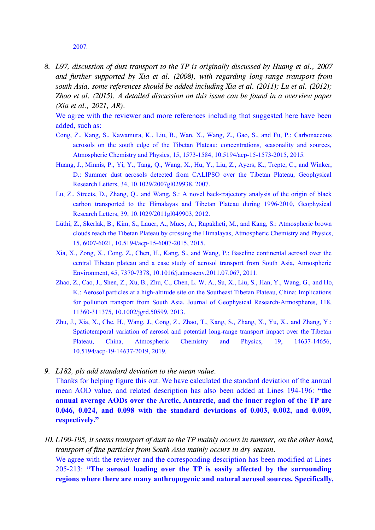2007.

*8. L97, discussion of dust transport to the TP is originally discussed by Huang et al., 2007 and further supported by Xia et al. (2008), with regarding long-range transport from south Asia, some references should be added including Xia et al. (2011); Lu et al. (2012); Zhao et al. (2015). A detailed discussion on this issue can be found in a overview paper (Xia et al., 2021, AR).*

We agree with the reviewer and more references including that suggested here have been added, such as:

- Cong, Z., Kang, S., Kawamura, K., Liu, B., Wan, X., Wang, Z., Gao, S., and Fu, P.: Carbonaceous aerosols on the south edge of the Tibetan Plateau: concentrations, seasonality and sources, Atmospheric Chemistry and Physics, 15, 1573-1584, 10.5194/acp-15-1573-2015, 2015.
- Huang, J., Minnis, P., Yi, Y., Tang, Q., Wang, X., Hu, Y., Liu, Z., Ayers, K., Trepte, C., and Winker, D.: Summer dust aerosols detected from CALIPSO over the Tibetan Plateau, Geophysical Research Letters, 34,10.1029/2007gl029938, 2007.
- Lu, Z., Streets, D., Zhang, Q., and Wang, S.: A novel back-trajectory analysis of the origin of black carbon transported to the Himalayas and Tibetan Plateau during 1996-2010, Geophysical Research Letters, 39,10.1029/2011gl049903, 2012.
- Lüthi, Z., Skerlak, B., Kim, S., Lauer, A., Mues, A., Rupakheti, M., and Kang, S.: Atmospheric brown clouds reach the Tibetan Plateau by crossing the Himalayas, Atmospheric Chemistry and Physics, 15, 6007-6021, 10.5194/acp-15-6007-2015, 2015.
- Xia, X., Zong, X., Cong, Z., Chen, H., Kang, S., and Wang, P.: Baseline continental aerosol over the central Tibetan plateau and a case study of aerosol transport from South Asia, Atmospheric Environment, 45, 7370-7378, 10.1016/j.atmosenv.2011.07.067, 2011.
- Zhao, Z., Cao, J., Shen, Z., Xu, B., Zhu, C., Chen, L. W. A., Su, X., Liu, S., Han, Y., Wang, G., and Ho, K.: Aerosol particles at a high-altitude site on the Southeast Tibetan Plateau, China: Implications for pollution transport from South Asia, Journal of Geophysical Research-Atmospheres, 118, 11360-311375, 10.1002/jgrd.50599, 2013.
- Zhu, J., Xia, X., Che, H., Wang, J., Cong, Z., Zhao, T., Kang, S., Zhang, X., Yu, X., and Zhang, Y.: Spatiotemporal variation of aerosol and potential long-range transport impact over the Tibetan Plateau, China, Atmospheric Chemistry and Physics, 19, 14637-14656, 10.5194/acp-19-14637-2019, 2019.
- *9. L182, pls add standard deviation to the mean value.* Thanks for helping figure this out. We have calculated the standard deviation of the annual mean AOD value, and related description has also been added at Lines 194-196: **"the annual average AODs over the Arctic, Antarctic, and the inner region of the TP are 0.046, 0.024, and 0.098 with the standard deviations of 0.003, 0.002, and 0.009, respectively."**
- *10. L190-195, it seems transport of dust to the TP mainly occurs in summer, on the other hand, transport of fine particles from South Asia mainly occurs in dry season.* We agree with the reviewer and the corresponding description has been modified at Lines 205-213: **"The aerosol loading over the TP is easily affected by the surrounding regions where there are many anthropogenic and natural aerosol sources. Specifically,**